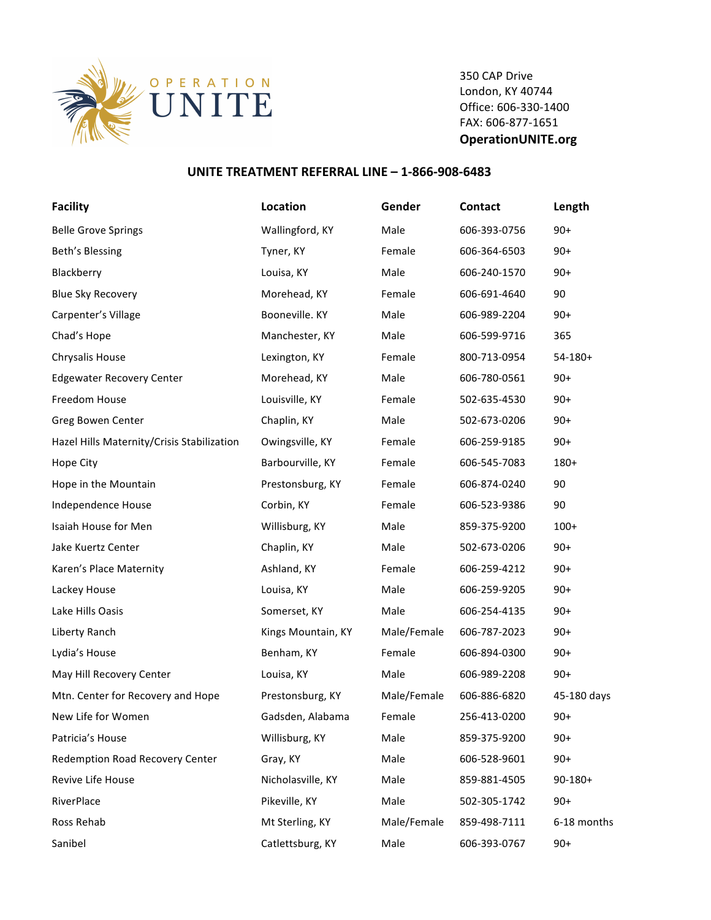

350 CAP Drive London, KY 40744 Office: 606-330-1400 FAX: 606-877-1651 **OperationUNITE.org**

## **UNITE TREATMENT REFERRAL LINE - 1-866-908-6483**

| <b>Facility</b>                            | Location           | Gender      | Contact      | Length       |
|--------------------------------------------|--------------------|-------------|--------------|--------------|
| <b>Belle Grove Springs</b>                 | Wallingford, KY    | Male        | 606-393-0756 | $90+$        |
| Beth's Blessing                            | Tyner, KY          | Female      | 606-364-6503 | $90+$        |
| Blackberry                                 | Louisa, KY         | Male        | 606-240-1570 | $90+$        |
| <b>Blue Sky Recovery</b>                   | Morehead, KY       | Female      | 606-691-4640 | 90           |
| Carpenter's Village                        | Booneville. KY     | Male        | 606-989-2204 | $90+$        |
| Chad's Hope                                | Manchester, KY     | Male        | 606-599-9716 | 365          |
| Chrysalis House                            | Lexington, KY      | Female      | 800-713-0954 | $54-180+$    |
| <b>Edgewater Recovery Center</b>           | Morehead, KY       | Male        | 606-780-0561 | $90+$        |
| Freedom House                              | Louisville, KY     | Female      | 502-635-4530 | $90+$        |
| Greg Bowen Center                          | Chaplin, KY        | Male        | 502-673-0206 | $90+$        |
| Hazel Hills Maternity/Crisis Stabilization | Owingsville, KY    | Female      | 606-259-9185 | $90+$        |
| Hope City                                  | Barbourville, KY   | Female      | 606-545-7083 | $180+$       |
| Hope in the Mountain                       | Prestonsburg, KY   | Female      | 606-874-0240 | 90           |
| Independence House                         | Corbin, KY         | Female      | 606-523-9386 | 90           |
| Isaiah House for Men                       | Willisburg, KY     | Male        | 859-375-9200 | $100+$       |
| Jake Kuertz Center                         | Chaplin, KY        | Male        | 502-673-0206 | $90+$        |
| Karen's Place Maternity                    | Ashland, KY        | Female      | 606-259-4212 | $90+$        |
| Lackey House                               | Louisa, KY         | Male        | 606-259-9205 | $90+$        |
| Lake Hills Oasis                           | Somerset, KY       | Male        | 606-254-4135 | $90+$        |
| Liberty Ranch                              | Kings Mountain, KY | Male/Female | 606-787-2023 | $90+$        |
| Lydia's House                              | Benham, KY         | Female      | 606-894-0300 | $90+$        |
| May Hill Recovery Center                   | Louisa, KY         | Male        | 606-989-2208 | $90+$        |
| Mtn. Center for Recovery and Hope          | Prestonsburg, KY   | Male/Female | 606-886-6820 | 45-180 days  |
| New Life for Women                         | Gadsden, Alabama   | Female      | 256-413-0200 | $90+$        |
| Patricia's House                           | Willisburg, KY     | Male        | 859-375-9200 | $90+$        |
| Redemption Road Recovery Center            | Gray, KY           | Male        | 606-528-9601 | $90+$        |
| Revive Life House                          | Nicholasville, KY  | Male        | 859-881-4505 | $90 - 180 +$ |
| RiverPlace                                 | Pikeville, KY      | Male        | 502-305-1742 | $90+$        |
| Ross Rehab                                 | Mt Sterling, KY    | Male/Female | 859-498-7111 | 6-18 months  |
| Sanibel                                    | Catlettsburg, KY   | Male        | 606-393-0767 | $90+$        |